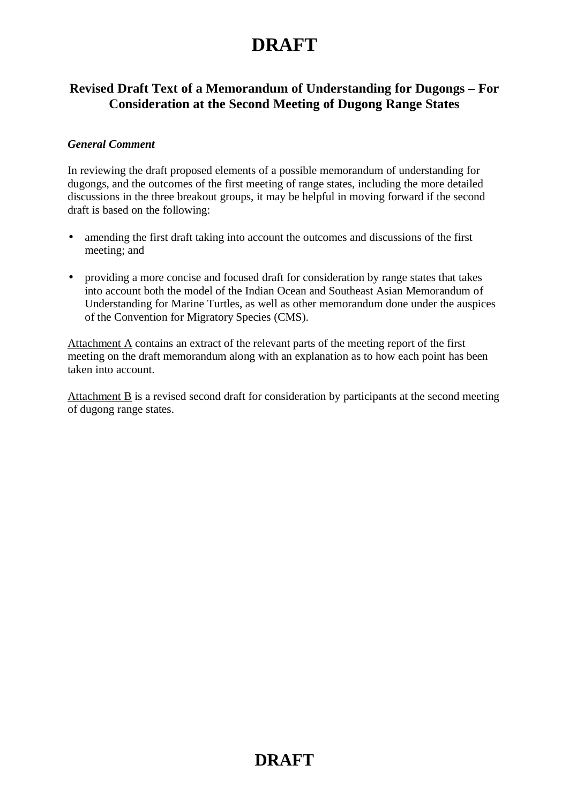### **Revised Draft Text of a Memorandum of Understanding for Dugongs – For Consideration at the Second Meeting of Dugong Range States**

#### *General Comment*

In reviewing the draft proposed elements of a possible memorandum of understanding for dugongs, and the outcomes of the first meeting of range states, including the more detailed discussions in the three breakout groups, it may be helpful in moving forward if the second draft is based on the following:

- amending the first draft taking into account the outcomes and discussions of the first meeting; and
- providing a more concise and focused draft for consideration by range states that takes into account both the model of the Indian Ocean and Southeast Asian Memorandum of Understanding for Marine Turtles, as well as other memorandum done under the auspices of the Convention for Migratory Species (CMS).

Attachment A contains an extract of the relevant parts of the meeting report of the first meeting on the draft memorandum along with an explanation as to how each point has been taken into account.

Attachment  $\overline{B}$  is a revised second draft for consideration by participants at the second meeting of dugong range states.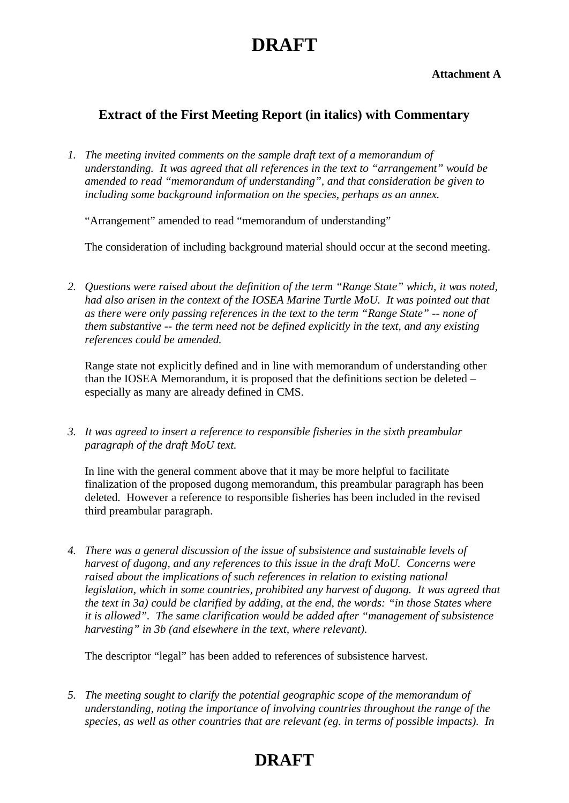**Attachment A**

### **Extract of the First Meeting Report (in italics) with Commentary**

*1. The meeting invited comments on the sample draft text of a memorandum of understanding. It was agreed that all references in the text to "arrangement" would be amended to read "memorandum of understanding", and that consideration be given to including some background information on the species, perhaps as an annex.*

"Arrangement" amended to read "memorandum of understanding"

The consideration of including background material should occur at the second meeting.

*2. Questions were raised about the definition of the term "Range State" which, it was noted, had also arisen in the context of the IOSEA Marine Turtle MoU. It was pointed out that as there were only passing references in the text to the term "Range State" -- none of them substantive -- the term need not be defined explicitly in the text, and any existing references could be amended.*

Range state not explicitly defined and in line with memorandum of understanding other than the IOSEA Memorandum, it is proposed that the definitions section be deleted – especially as many are already defined in CMS.

*3. It was agreed to insert a reference to responsible fisheries in the sixth preambular paragraph of the draft MoU text.*

In line with the general comment above that it may be more helpful to facilitate finalization of the proposed dugong memorandum, this preambular paragraph has been deleted. However a reference to responsible fisheries has been included in the revised third preambular paragraph.

*4. There was a general discussion of the issue of subsistence and sustainable levels of harvest of dugong, and any references to this issue in the draft MoU. Concerns were raised about the implications of such references in relation to existing national legislation, which in some countries, prohibited any harvest of dugong. It was agreed that the text in 3a) could be clarified by adding, at the end, the words: "in those States where it is allowed". The same clarification would be added after "management of subsistence harvesting" in 3b (and elsewhere in the text, where relevant).* 

The descriptor "legal" has been added to references of subsistence harvest.

*5. The meeting sought to clarify the potential geographic scope of the memorandum of understanding, noting the importance of involving countries throughout the range of the species, as well as other countries that are relevant (eg. in terms of possible impacts). In*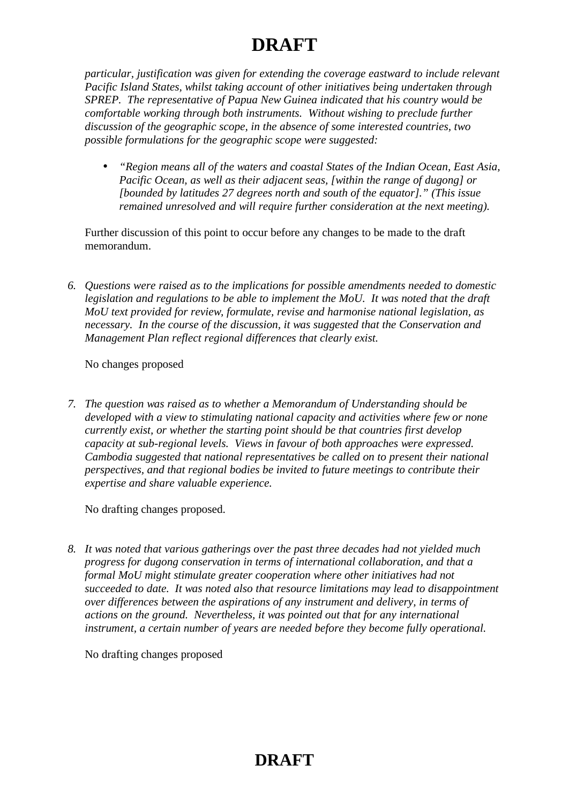*particular, justification was given for extending the coverage eastward to include relevant Pacific Island States, whilst taking account of other initiatives being undertaken through SPREP. The representative of Papua New Guinea indicated that his country would be comfortable working through both instruments. Without wishing to preclude further discussion of the geographic scope, in the absence of some interested countries, two possible formulations for the geographic scope were suggested:* 

• *"Region means all of the waters and coastal States of the Indian Ocean, East Asia, Pacific Ocean, as well as their adjacent seas, [within the range of dugong] or [bounded by latitudes 27 degrees north and south of the equator]." (This issue remained unresolved and will require further consideration at the next meeting).*

Further discussion of this point to occur before any changes to be made to the draft memorandum.

*6. Questions were raised as to the implications for possible amendments needed to domestic legislation and regulations to be able to implement the MoU. It was noted that the draft MoU text provided for review, formulate, revise and harmonise national legislation, as necessary. In the course of the discussion, it was suggested that the Conservation and Management Plan reflect regional differences that clearly exist.*

#### No changes proposed

*7. The question was raised as to whether a Memorandum of Understanding should be developed with a view to stimulating national capacity and activities where few or none currently exist, or whether the starting point should be that countries first develop capacity at sub-regional levels. Views in favour of both approaches were expressed. Cambodia suggested that national representatives be called on to present their national perspectives, and that regional bodies be invited to future meetings to contribute their expertise and share valuable experience.*

#### No drafting changes proposed.

*8. It was noted that various gatherings over the past three decades had not yielded much progress for dugong conservation in terms of international collaboration, and that a formal MoU might stimulate greater cooperation where other initiatives had not succeeded to date. It was noted also that resource limitations may lead to disappointment over differences between the aspirations of any instrument and delivery, in terms of actions on the ground. Nevertheless, it was pointed out that for any international instrument, a certain number of years are needed before they become fully operational.*

No drafting changes proposed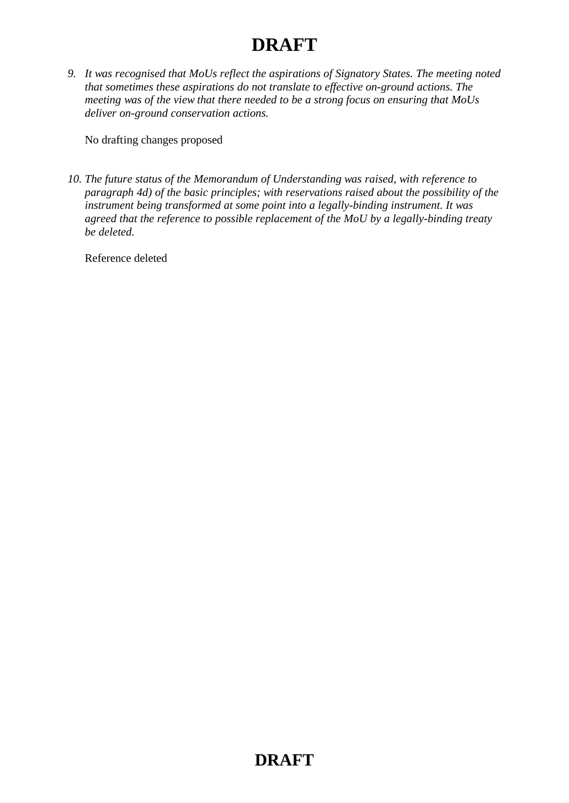*9. It was recognised that MoUs reflect the aspirations of Signatory States. The meeting noted that sometimes these aspirations do not translate to effective on-ground actions. The meeting was of the view that there needed to be a strong focus on ensuring that MoUs deliver on-ground conservation actions.*

No drafting changes proposed

*10. The future status of the Memorandum of Understanding was raised, with reference to paragraph 4d) of the basic principles; with reservations raised about the possibility of the instrument being transformed at some point into a legally-binding instrument. It was agreed that the reference to possible replacement of the MoU by a legally-binding treaty be deleted.* 

Reference deleted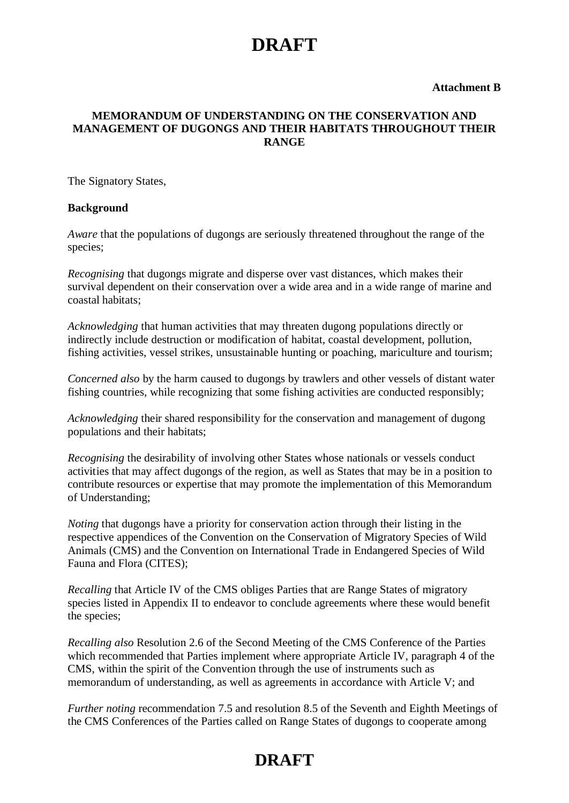#### **Attachment B**

#### **MEMORANDUM OF UNDERSTANDING ON THE CONSERVATION AND MANAGEMENT OF DUGONGS AND THEIR HABITATS THROUGHOUT THEIR RANGE**

The Signatory States,

#### **Background**

*Aware* that the populations of dugongs are seriously threatened throughout the range of the species;

*Recognising* that dugongs migrate and disperse over vast distances, which makes their survival dependent on their conservation over a wide area and in a wide range of marine and coastal habitats;

*Acknowledging* that human activities that may threaten dugong populations directly or indirectly include destruction or modification of habitat, coastal development, pollution, fishing activities, vessel strikes, unsustainable hunting or poaching, mariculture and tourism;

*Concerned also* by the harm caused to dugongs by trawlers and other vessels of distant water fishing countries, while recognizing that some fishing activities are conducted responsibly;

*Acknowledging* their shared responsibility for the conservation and management of dugong populations and their habitats;

*Recognising* the desirability of involving other States whose nationals or vessels conduct activities that may affect dugongs of the region, as well as States that may be in a position to contribute resources or expertise that may promote the implementation of this Memorandum of Understanding;

*Noting* that dugongs have a priority for conservation action through their listing in the respective appendices of the Convention on the Conservation of Migratory Species of Wild Animals (CMS) and the Convention on International Trade in Endangered Species of Wild Fauna and Flora (CITES);

*Recalling* that Article IV of the CMS obliges Parties that are Range States of migratory species listed in Appendix II to endeavor to conclude agreements where these would benefit the species;

*Recalling also* Resolution 2.6 of the Second Meeting of the CMS Conference of the Parties which recommended that Parties implement where appropriate Article IV, paragraph 4 of the CMS, within the spirit of the Convention through the use of instruments such as memorandum of understanding, as well as agreements in accordance with Article V; and

*Further noting* recommendation 7.5 and resolution 8.5 of the Seventh and Eighth Meetings of the CMS Conferences of the Parties called on Range States of dugongs to cooperate among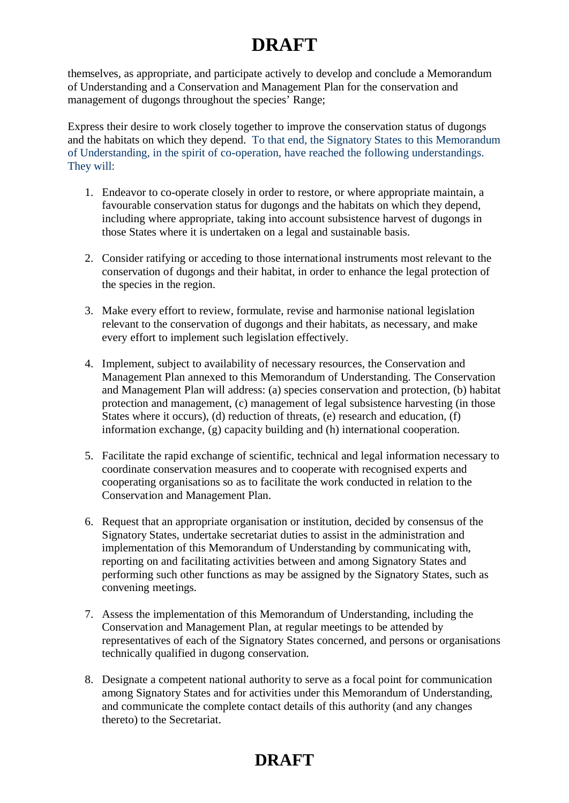themselves, as appropriate, and participate actively to develop and conclude a Memorandum of Understanding and a Conservation and Management Plan for the conservation and management of dugongs throughout the species' Range;

Express their desire to work closely together to improve the conservation status of dugongs and the habitats on which they depend. To that end, the Signatory States to this Memorandum of Understanding, in the spirit of co-operation, have reached the following understandings. They will:

- 1. Endeavor to co-operate closely in order to restore, or where appropriate maintain, a favourable conservation status for dugongs and the habitats on which they depend, including where appropriate, taking into account subsistence harvest of dugongs in those States where it is undertaken on a legal and sustainable basis.
- 2. Consider ratifying or acceding to those international instruments most relevant to the conservation of dugongs and their habitat, in order to enhance the legal protection of the species in the region.
- 3. Make every effort to review, formulate, revise and harmonise national legislation relevant to the conservation of dugongs and their habitats, as necessary, and make every effort to implement such legislation effectively.
- 4. Implement, subject to availability of necessary resources, the Conservation and Management Plan annexed to this Memorandum of Understanding. The Conservation and Management Plan will address: (a) species conservation and protection, (b) habitat protection and management, (c) management of legal subsistence harvesting (in those States where it occurs), (d) reduction of threats, (e) research and education, (f) information exchange, (g) capacity building and (h) international cooperation.
- 5. Facilitate the rapid exchange of scientific, technical and legal information necessary to coordinate conservation measures and to cooperate with recognised experts and cooperating organisations so as to facilitate the work conducted in relation to the Conservation and Management Plan.
- 6. Request that an appropriate organisation or institution, decided by consensus of the Signatory States, undertake secretariat duties to assist in the administration and implementation of this Memorandum of Understanding by communicating with, reporting on and facilitating activities between and among Signatory States and performing such other functions as may be assigned by the Signatory States, such as convening meetings.
- 7. Assess the implementation of this Memorandum of Understanding, including the Conservation and Management Plan, at regular meetings to be attended by representatives of each of the Signatory States concerned, and persons or organisations technically qualified in dugong conservation.
- 8. Designate a competent national authority to serve as a focal point for communication among Signatory States and for activities under this Memorandum of Understanding, and communicate the complete contact details of this authority (and any changes thereto) to the Secretariat.